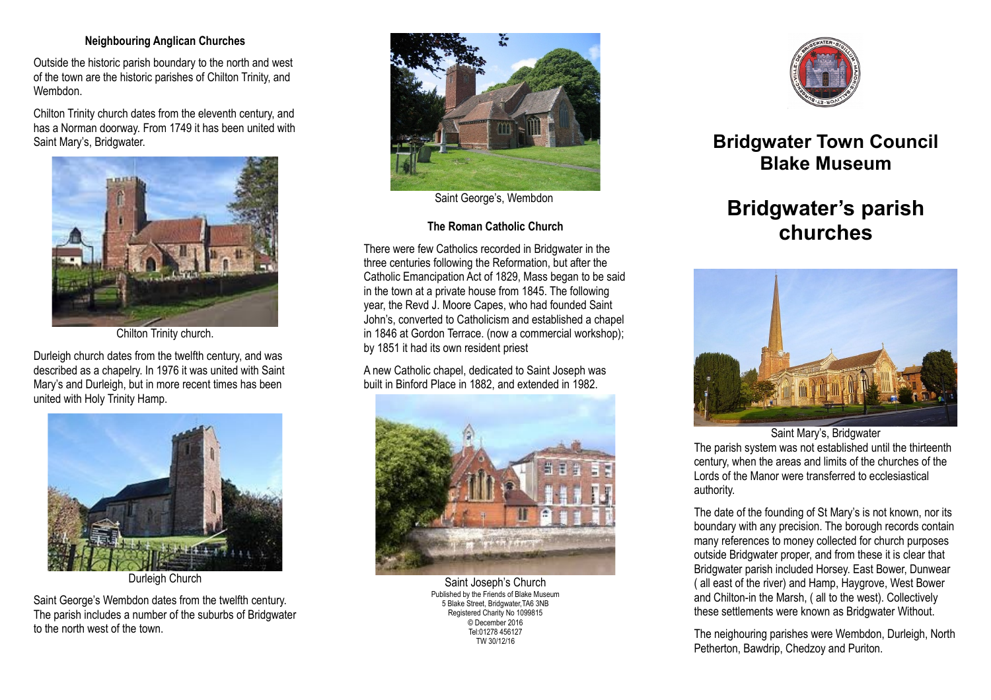## **Neighbouring Anglican Churches**

Outside the historic parish boundary to the north and west of the town are the historic parishes of Chilton Trinity, and **Wembdon** 

Chilton Trinity church dates from the eleventh century, and has a Norman doorway. From 1749 it has been united with Saint Mary's, Bridgwater.



Chilton Trinity church.

Durleigh church dates from the twelfth century, and was described as a chapelry. In 1976 it was united with Saint Mary's and Durleigh, but in more recent times has been united with Holy Trinity Hamp.



Durleigh Church

Saint George's Wembdon dates from the twelfth century. The parish includes a number of the suburbs of Bridgwater to the north west of the town.



Saint George's, Wembdon

## **The Roman Catholic Church**

There were few Catholics recorded in Bridgwater in the three centuries following the Reformation, but after the Catholic Emancipation Act of 1829, Mass began to be said in the town at a private house from 1845. The following year, the Revd J. Moore Capes, who had founded Saint John's, converted to Catholicism and established a chapel in 1846 at Gordon Terrace. (now a commercial workshop); by 1851 it had its own resident priest

A new Catholic chapel, dedicated to Saint Joseph was built in Binford Place in 1882, and extended in 1982.



Saint Joseph's Church Published by the Friends of Blake Museum 5 Blake Street, Bridgwater,TA6 3NB Registered Charity No 1099815 © December 2016 Tel:01278 456127 TW 30/12/16



**Bridgwater Town Council Blake Museum**

## **Bridgwater's parish churches**



Saint Mary's, Bridgwater The parish system was not established until the thirteenth

century, when the areas and limits of the churches of the Lords of the Manor were transferred to ecclesiastical authority.

The date of the founding of St Mary's is not known, nor its boundary with any precision. The borough records contain many references to money collected for church purposes outside Bridgwater proper, and from these it is clear that Bridgwater parish included Horsey. East Bower, Dunwear ( all east of the river) and Hamp, Haygrove, West Bower and Chilton-in the Marsh, ( all to the west). Collectively these settlements were known as Bridgwater Without.

The neighouring parishes were Wembdon, Durleigh, North Petherton, Bawdrip, Chedzoy and Puriton.